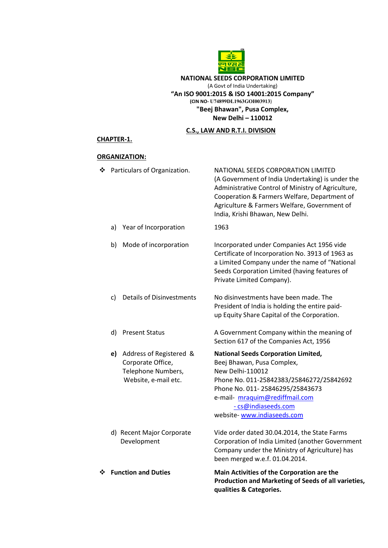

## NATIONAL SEEDS CORPORATION LIMITED (A Govt of India Undertaking) "An ISO 9001:2015 & ISO 14001:2015 Company" (CIN NO- U74899DL1963GOI003913) "Beej Bhawan", Pusa Complex, New Delhi – 110012

# C.S., LAW AND R.T.I. DIVISION

## CHAPTER-1.

# ORGANIZATION:

| ❖ | <b>Function and Duties</b>                                                                       | Main Activities of the Corporation are the<br>Production and Marketing of Seeds of all varieties,<br>qualities & Categories.                                                                                                                                                     |
|---|--------------------------------------------------------------------------------------------------|----------------------------------------------------------------------------------------------------------------------------------------------------------------------------------------------------------------------------------------------------------------------------------|
|   | d) Recent Major Corporate<br>Development                                                         | Vide order dated 30.04.2014, the State Farms<br>Corporation of India Limited (another Government<br>Company under the Ministry of Agriculture) has<br>been merged w.e.f. 01.04.2014.                                                                                             |
|   | Address of Registered &<br>e)<br>Corporate Office,<br>Telephone Numbers,<br>Website, e-mail etc. | <b>National Seeds Corporation Limited,</b><br>Beej Bhawan, Pusa Complex,<br>New Delhi-110012<br>Phone No. 011-25842383/25846272/25842692<br>Phone No. 011-25846295/25843673<br>e-mail- mraquim@rediffmail.com<br>- cs@indiaseeds.com<br>website-www.indiaseeds.com               |
|   | d)<br><b>Present Status</b>                                                                      | A Government Company within the meaning of<br>Section 617 of the Companies Act, 1956                                                                                                                                                                                             |
|   | <b>Details of Disinvestments</b><br>c)                                                           | No disinvestments have been made. The<br>President of India is holding the entire paid-<br>up Equity Share Capital of the Corporation.                                                                                                                                           |
|   | Mode of incorporation<br>b)                                                                      | Incorporated under Companies Act 1956 vide<br>Certificate of Incorporation No. 3913 of 1963 as<br>a Limited Company under the name of "National<br>Seeds Corporation Limited (having features of<br>Private Limited Company).                                                    |
|   | Year of Incorporation<br>a)                                                                      | 1963                                                                                                                                                                                                                                                                             |
| ❖ | Particulars of Organization.                                                                     | NATIONAL SEEDS CORPORATION LIMITED<br>(A Government of India Undertaking) is under the<br>Administrative Control of Ministry of Agriculture,<br>Cooperation & Farmers Welfare, Department of<br>Agriculture & Farmers Welfare, Government of<br>India, Krishi Bhawan, New Delhi. |